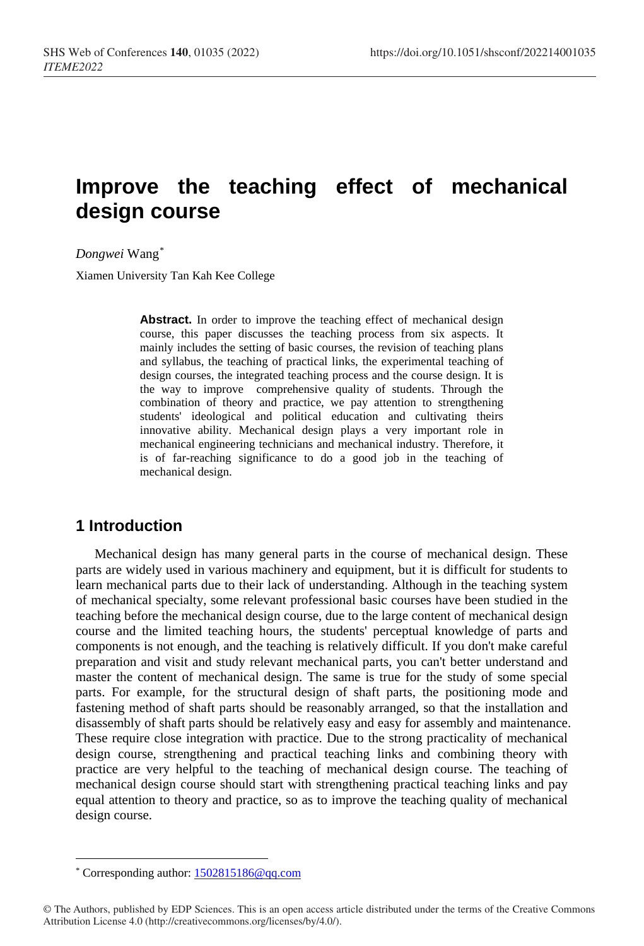# **Improve the teaching effect of mechanical design course**

*Dongwei* Wang[\\*](#page-0-0)

Xiamen University Tan Kah Kee College

**Abstract.** In order to improve the teaching effect of mechanical design course, this paper discusses the teaching process from six aspects. It mainly includes the setting of basic courses, the revision of teaching plans and syllabus, the teaching of practical links, the experimental teaching of design courses, the integrated teaching process and the course design. It is the way to improve comprehensive quality of students. Through the combination of theory and practice, we pay attention to strengthening students' ideological and political education and cultivating theirs innovative ability. Mechanical design plays a very important role in mechanical engineering technicians and mechanical industry. Therefore, it is of far-reaching significance to do a good job in the teaching of mechanical design.

# **1 Introduction**

Mechanical design has many general parts in the course of mechanical design. These parts are widely used in various machinery and equipment, but it is difficult for students to learn mechanical parts due to their lack of understanding. Although in the teaching system of mechanical specialty, some relevant professional basic courses have been studied in the teaching before the mechanical design course, due to the large content of mechanical design course and the limited teaching hours, the students' perceptual knowledge of parts and components is not enough, and the teaching is relatively difficult. If you don't make careful preparation and visit and study relevant mechanical parts, you can't better understand and master the content of mechanical design. The same is true for the study of some special parts. For example, for the structural design of shaft parts, the positioning mode and fastening method of shaft parts should be reasonably arranged, so that the installation and disassembly of shaft parts should be relatively easy and easy for assembly and maintenance. These require close integration with practice. Due to the strong practicality of mechanical design course, strengthening and practical teaching links and combining theory with practice are very helpful to the teaching of mechanical design course. The teaching of mechanical design course should start with strengthening practical teaching links and pay equal attention to theory and practice, so as to improve the teaching quality of mechanical design course.

 $\overline{a}$ \* Corresponding author[: 1502815186@qq.com](mailto:1502815186@qq.com)

<span id="page-0-0"></span><sup>©</sup> The Authors, published by EDP Sciences. This is an open access article distributed under the terms of the Creative Commons Attribution License 4.0 (http://creativecommons.org/licenses/by/4.0/).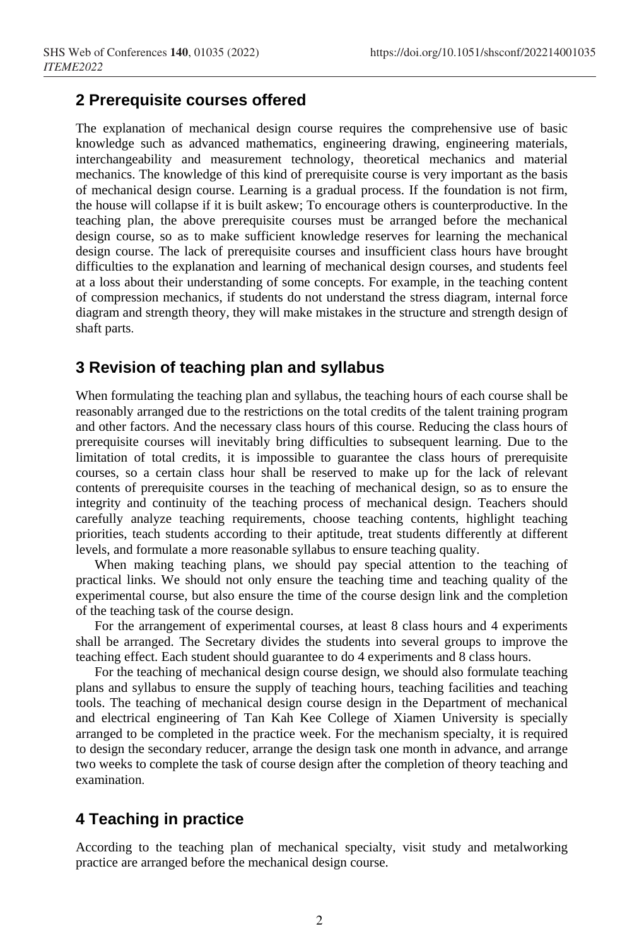# **2 Prerequisite courses offered**

The explanation of mechanical design course requires the comprehensive use of basic knowledge such as advanced mathematics, engineering drawing, engineering materials, interchangeability and measurement technology, theoretical mechanics and material mechanics. The knowledge of this kind of prerequisite course is very important as the basis of mechanical design course. Learning is a gradual process. If the foundation is not firm, the house will collapse if it is built askew; To encourage others is counterproductive. In the teaching plan, the above prerequisite courses must be arranged before the mechanical design course, so as to make sufficient knowledge reserves for learning the mechanical design course. The lack of prerequisite courses and insufficient class hours have brought difficulties to the explanation and learning of mechanical design courses, and students feel at a loss about their understanding of some concepts. For example, in the teaching content of compression mechanics, if students do not understand the stress diagram, internal force diagram and strength theory, they will make mistakes in the structure and strength design of shaft parts.

# **3 Revision of teaching plan and syllabus**

When formulating the teaching plan and syllabus, the teaching hours of each course shall be reasonably arranged due to the restrictions on the total credits of the talent training program and other factors. And the necessary class hours of this course. Reducing the class hours of prerequisite courses will inevitably bring difficulties to subsequent learning. Due to the limitation of total credits, it is impossible to guarantee the class hours of prerequisite courses, so a certain class hour shall be reserved to make up for the lack of relevant contents of prerequisite courses in the teaching of mechanical design, so as to ensure the integrity and continuity of the teaching process of mechanical design. Teachers should carefully analyze teaching requirements, choose teaching contents, highlight teaching priorities, teach students according to their aptitude, treat students differently at different levels, and formulate a more reasonable syllabus to ensure teaching quality.

When making teaching plans, we should pay special attention to the teaching of practical links. We should not only ensure the teaching time and teaching quality of the experimental course, but also ensure the time of the course design link and the completion of the teaching task of the course design.

For the arrangement of experimental courses, at least 8 class hours and 4 experiments shall be arranged. The Secretary divides the students into several groups to improve the teaching effect. Each student should guarantee to do 4 experiments and 8 class hours.

For the teaching of mechanical design course design, we should also formulate teaching plans and syllabus to ensure the supply of teaching hours, teaching facilities and teaching tools. The teaching of mechanical design course design in the Department of mechanical and electrical engineering of Tan Kah Kee College of Xiamen University is specially arranged to be completed in the practice week. For the mechanism specialty, it is required to design the secondary reducer, arrange the design task one month in advance, and arrange two weeks to complete the task of course design after the completion of theory teaching and examination.

# **4 Teaching in practice**

According to the teaching plan of mechanical specialty, visit study and metalworking practice are arranged before the mechanical design course.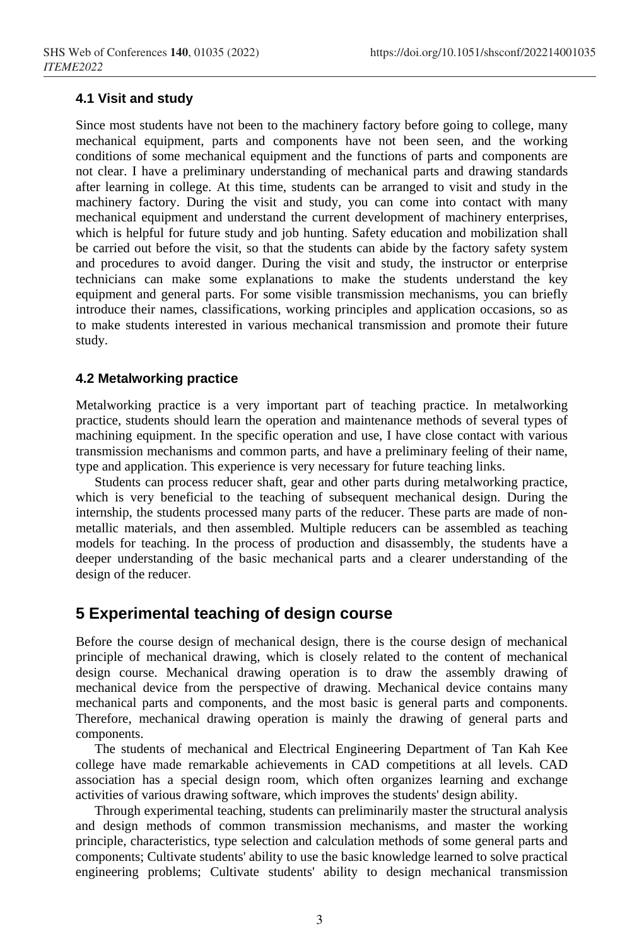#### **4.1 Visit and study**

Since most students have not been to the machinery factory before going to college, many mechanical equipment, parts and components have not been seen, and the working conditions of some mechanical equipment and the functions of parts and components are not clear. I have a preliminary understanding of mechanical parts and drawing standards after learning in college. At this time, students can be arranged to visit and study in the machinery factory. During the visit and study, you can come into contact with many mechanical equipment and understand the current development of machinery enterprises, which is helpful for future study and job hunting. Safety education and mobilization shall be carried out before the visit, so that the students can abide by the factory safety system and procedures to avoid danger. During the visit and study, the instructor or enterprise technicians can make some explanations to make the students understand the key equipment and general parts. For some visible transmission mechanisms, you can briefly introduce their names, classifications, working principles and application occasions, so as to make students interested in various mechanical transmission and promote their future study.

#### **4.2 Metalworking practice**

Metalworking practice is a very important part of teaching practice. In metalworking practice, students should learn the operation and maintenance methods of several types of machining equipment. In the specific operation and use, I have close contact with various transmission mechanisms and common parts, and have a preliminary feeling of their name, type and application. This experience is very necessary for future teaching links.

Students can process reducer shaft, gear and other parts during metalworking practice, which is very beneficial to the teaching of subsequent mechanical design. During the internship, the students processed many parts of the reducer. These parts are made of nonmetallic materials, and then assembled. Multiple reducers can be assembled as teaching models for teaching. In the process of production and disassembly, the students have a deeper understanding of the basic mechanical parts and a clearer understanding of the design of the reducer.

### **5 Experimental teaching of design course**

Before the course design of mechanical design, there is the course design of mechanical principle of mechanical drawing, which is closely related to the content of mechanical design course. Mechanical drawing operation is to draw the assembly drawing of mechanical device from the perspective of drawing. Mechanical device contains many mechanical parts and components, and the most basic is general parts and components. Therefore, mechanical drawing operation is mainly the drawing of general parts and components.

The students of mechanical and Electrical Engineering Department of Tan Kah Kee college have made remarkable achievements in CAD competitions at all levels. CAD association has a special design room, which often organizes learning and exchange activities of various drawing software, which improves the students' design ability.

Through experimental teaching, students can preliminarily master the structural analysis and design methods of common transmission mechanisms, and master the working principle, characteristics, type selection and calculation methods of some general parts and components; Cultivate students' ability to use the basic knowledge learned to solve practical engineering problems; Cultivate students' ability to design mechanical transmission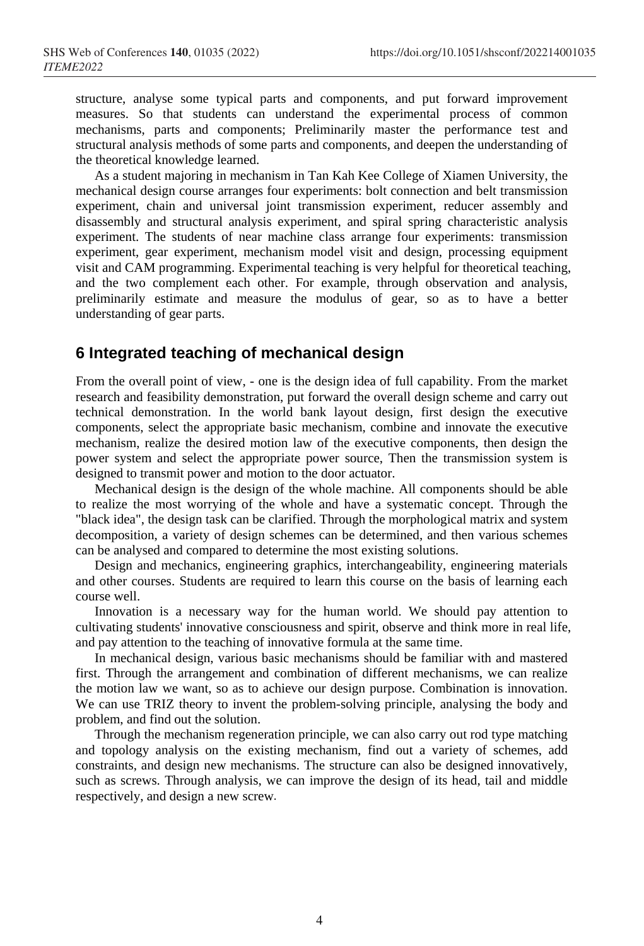structure, analyse some typical parts and components, and put forward improvement measures. So that students can understand the experimental process of common mechanisms, parts and components; Preliminarily master the performance test and structural analysis methods of some parts and components, and deepen the understanding of the theoretical knowledge learned.

As a student majoring in mechanism in Tan Kah Kee College of Xiamen University, the mechanical design course arranges four experiments: bolt connection and belt transmission experiment, chain and universal joint transmission experiment, reducer assembly and disassembly and structural analysis experiment, and spiral spring characteristic analysis experiment. The students of near machine class arrange four experiments: transmission experiment, gear experiment, mechanism model visit and design, processing equipment visit and CAM programming. Experimental teaching is very helpful for theoretical teaching, and the two complement each other. For example, through observation and analysis, preliminarily estimate and measure the modulus of gear, so as to have a better understanding of gear parts.

# **6 Integrated teaching of mechanical design**

From the overall point of view, - one is the design idea of full capability. From the market research and feasibility demonstration, put forward the overall design scheme and carry out technical demonstration. In the world bank layout design, first design the executive components, select the appropriate basic mechanism, combine and innovate the executive mechanism, realize the desired motion law of the executive components, then design the power system and select the appropriate power source, Then the transmission system is designed to transmit power and motion to the door actuator.

Mechanical design is the design of the whole machine. All components should be able to realize the most worrying of the whole and have a systematic concept. Through the "black idea", the design task can be clarified. Through the morphological matrix and system decomposition, a variety of design schemes can be determined, and then various schemes can be analysed and compared to determine the most existing solutions.

Design and mechanics, engineering graphics, interchangeability, engineering materials and other courses. Students are required to learn this course on the basis of learning each course well.

Innovation is a necessary way for the human world. We should pay attention to cultivating students' innovative consciousness and spirit, observe and think more in real life, and pay attention to the teaching of innovative formula at the same time.

In mechanical design, various basic mechanisms should be familiar with and mastered first. Through the arrangement and combination of different mechanisms, we can realize the motion law we want, so as to achieve our design purpose. Combination is innovation. We can use TRIZ theory to invent the problem-solving principle, analysing the body and problem, and find out the solution.

Through the mechanism regeneration principle, we can also carry out rod type matching and topology analysis on the existing mechanism, find out a variety of schemes, add constraints, and design new mechanisms. The structure can also be designed innovatively, such as screws. Through analysis, we can improve the design of its head, tail and middle respectively, and design a new screw.